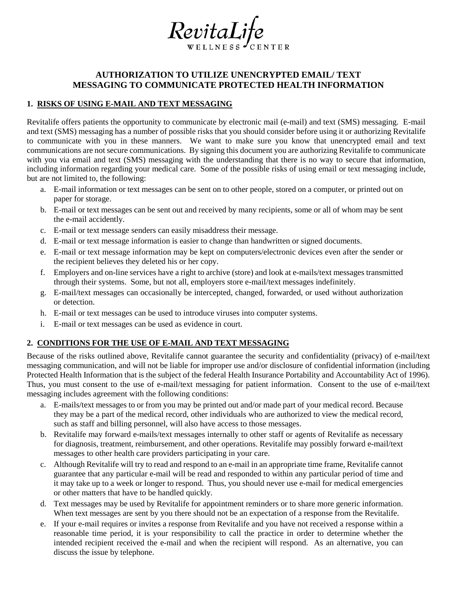

## **AUTHORIZATION TO UTILIZE UNENCRYPTED EMAIL/ TEXT MESSAGING TO COMMUNICATE PROTECTED HEALTH INFORMATION**

## **1. RISKS OF USING E-MAIL AND TEXT MESSAGING**

Revitalife offers patients the opportunity to communicate by electronic mail (e-mail) and text (SMS) messaging. E-mail and text (SMS) messaging has a number of possible risks that you should consider before using it or authorizing Revitalife to communicate with you in these manners. We want to make sure you know that unencrypted email and text communications are not secure communications. By signing this document you are authorizing Revitalife to communicate with you via email and text (SMS) messaging with the understanding that there is no way to secure that information, including information regarding your medical care. Some of the possible risks of using email or text messaging include, but are not limited to, the following:

- a. E-mail information or text messages can be sent on to other people, stored on a computer, or printed out on paper for storage.
- b. E-mail or text messages can be sent out and received by many recipients, some or all of whom may be sent the e-mail accidently.
- c. E-mail or text message senders can easily misaddress their message.
- d. E-mail or text message information is easier to change than handwritten or signed documents.
- e. E-mail or text message information may be kept on computers/electronic devices even after the sender or the recipient believes they deleted his or her copy.
- f. Employers and on-line services have a right to archive (store) and look at e-mails/text messages transmitted through their systems. Some, but not all, employers store e-mail/text messages indefinitely.
- g. E-mail/text messages can occasionally be intercepted, changed, forwarded, or used without authorization or detection.
- h. E-mail or text messages can be used to introduce viruses into computer systems.
- i. E-mail or text messages can be used as evidence in court.

## **2. CONDITIONS FOR THE USE OF E-MAIL AND TEXT MESSAGING**

Because of the risks outlined above, Revitalife cannot guarantee the security and confidentiality (privacy) of e-mail/text messaging communication, and will not be liable for improper use and/or disclosure of confidential information (including Protected Health Information that is the subject of the federal Health Insurance Portability and Accountability Act of 1996). Thus, you must consent to the use of e-mail/text messaging for patient information. Consent to the use of e-mail/text messaging includes agreement with the following conditions:

- a. E-mails/text messages to or from you may be printed out and/or made part of your medical record. Because they may be a part of the medical record, other individuals who are authorized to view the medical record, such as staff and billing personnel, will also have access to those messages.
- b. Revitalife may forward e-mails/text messages internally to other staff or agents of Revitalife as necessary for diagnosis, treatment, reimbursement, and other operations. Revitalife may possibly forward e-mail/text messages to other health care providers participating in your care.
- c. Although Revitalife will try to read and respond to an e-mail in an appropriate time frame, Revitalife cannot guarantee that any particular e-mail will be read and responded to within any particular period of time and it may take up to a week or longer to respond. Thus, you should never use e-mail for medical emergencies or other matters that have to be handled quickly.
- d. Text messages may be used by Revitalife for appointment reminders or to share more generic information. When text messages are sent by you there should not be an expectation of a response from the Revitalife.
- e. If your e-mail requires or invites a response from Revitalife and you have not received a response within a reasonable time period, it is your responsibility to call the practice in order to determine whether the intended recipient received the e-mail and when the recipient will respond. As an alternative, you can discuss the issue by telephone.